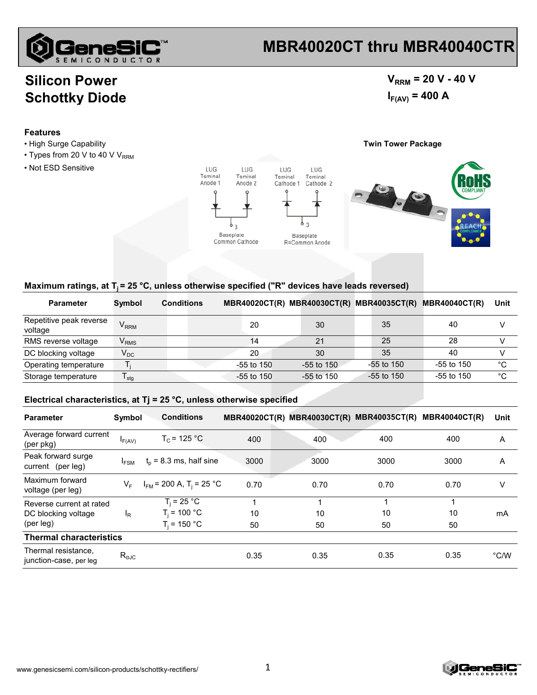

# **MBR40020CT thru MBR40040CTR**

### **Silicon Power Schottky Diode**

### $V_{RRM}$  = 20 V - 40 V  $I_{F(AV)} = 400 A$

#### **Features**

- High Surge Capability **Twin Tower Package**
- Types from 20 V to 40 V  $V_{RRM}$
- Not ESD Sensitive



#### Maximum ratings, at T<sub>i</sub> = 25 °C, unless otherwise specified ("R" devices have leads reversed)

| <b>Parameter</b>                   | Symbol                      | <b>Conditions</b> |              | <b>MBR40020CT(R) MBR40030CT(R)</b> | <b>MBR40035CT(R)</b> | <b>MBR40040CT(R)</b> | Unit |
|------------------------------------|-----------------------------|-------------------|--------------|------------------------------------|----------------------|----------------------|------|
| Repetitive peak reverse<br>voltage | $V_{RRM}$                   |                   | 20           | 30                                 | 35                   | 40                   |      |
| RMS reverse voltage                | $\mathsf{V}_{\mathsf{RMS}}$ |                   | 14           | 21                                 | 25                   | 28                   |      |
| DC blocking voltage                | $\mathsf{V}_\mathsf{DC}$    |                   | 20           | 30                                 | 35                   | 40                   |      |
| Operating temperature              |                             |                   | $-55$ to 150 | $-55$ to 150                       | -55 to 150           | $-55$ to 150         | °C   |
| Storage temperature                | $\mathsf{I}$ stg            |                   | $-55$ to 150 | -55 to 150                         | $-55$ to 150         | $-55$ to 150         | °C   |

#### **Electrical characteristics, at Tj = 25 °C, unless otherwise specified**

| <b>Parameter</b>                                             | Symbol           | <b>Conditions</b>                        |      |      | MBR40020CT(R) MBR40030CT(R) MBR40035CT(R) | <b>MBR40040CT(R)</b> | Unit          |
|--------------------------------------------------------------|------------------|------------------------------------------|------|------|-------------------------------------------|----------------------|---------------|
| Average forward current<br>(per pkg)                         | $I_{F(AV)}$      | $T_c$ = 125 °C                           | 400  | 400  | 400                                       | 400                  | A             |
| Peak forward surge<br>current (per leg)                      | $I_{FSM}$        | $t_0$ = 8.3 ms, half sine                | 3000 | 3000 | 3000                                      | 3000                 | A             |
| Maximum forward<br>voltage (per leg)                         | $V_F$            | $I_{FM}$ = 200 A, T <sub>i</sub> = 25 °C | 0.70 | 0.70 | 0.70                                      | 0.70                 | V             |
| Reverse current at rated<br>DC blocking voltage<br>(per leg) | <sup>I</sup> R   | $T_i = 25 °C$                            |      |      |                                           |                      | mA            |
|                                                              |                  | $T_i = 100 °C$                           | 10   | 10   | 10                                        | 10                   |               |
|                                                              |                  | $T_i = 150 °C$                           | 50   | 50   | 50                                        | 50                   |               |
| <b>Thermal characteristics</b>                               |                  |                                          |      |      |                                           |                      |               |
| Thermal resistance,<br>junction-case, per leg                | $R_{\text{eJC}}$ |                                          | 0.35 | 0.35 | 0.35                                      | 0.35                 | $\degree$ C/W |

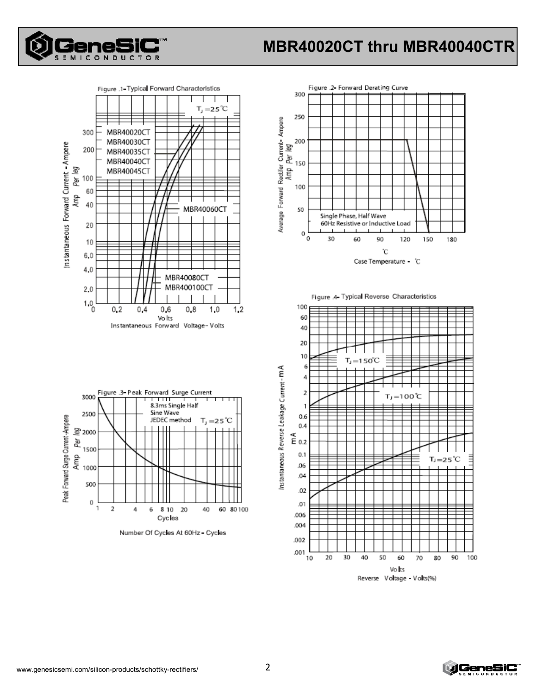

# **MBR40020CT thru MBR40040CTR**











Number Of Cycles At 60Hz - Cycles